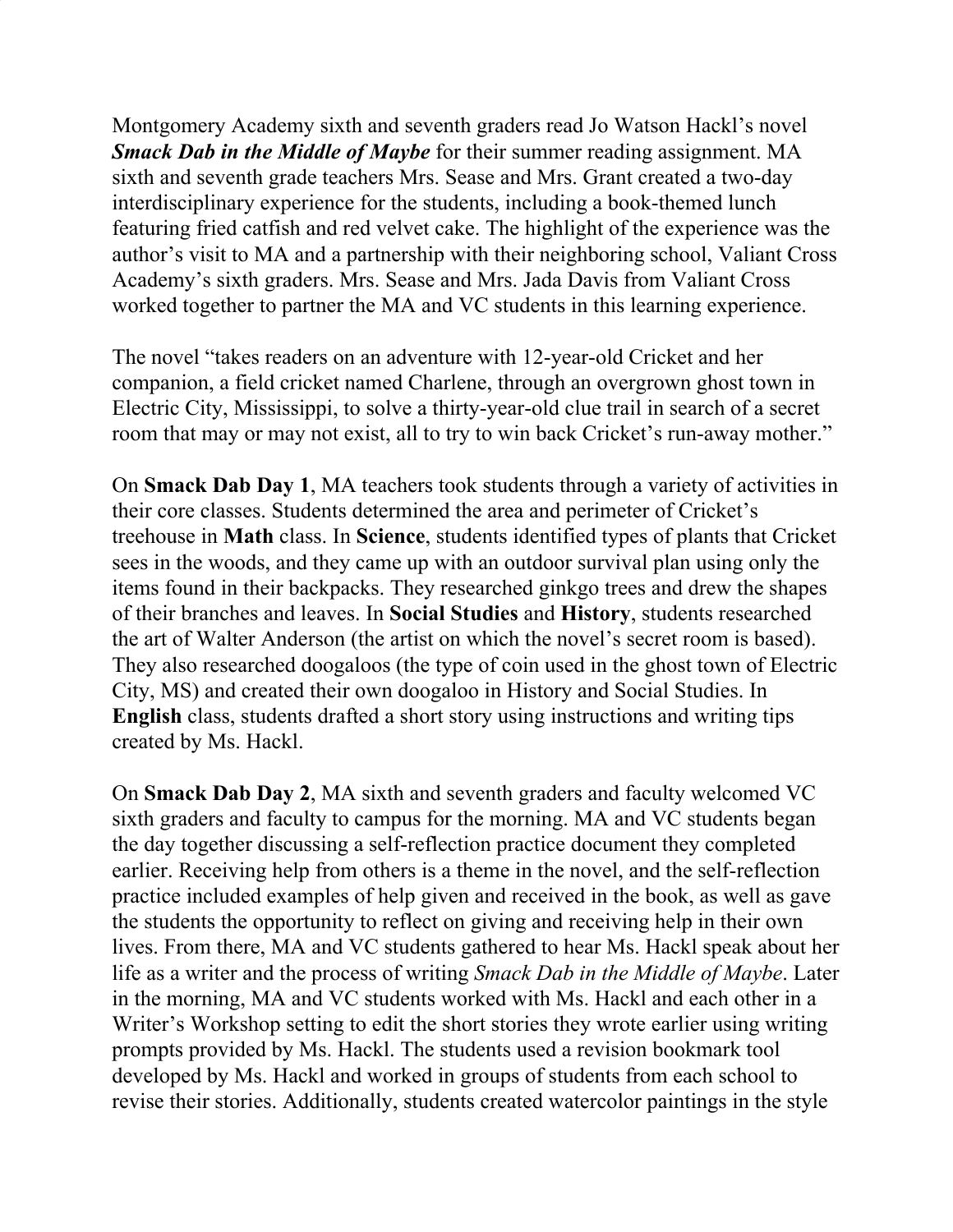Montgomery Academy sixth and seventh graders read Jo Watson Hackl's novel *Smack Dab in the Middle of Maybe* for their summer reading assignment. MA sixth and seventh grade teachers Mrs. Sease and Mrs. Grant created a two-day interdisciplinary experience for the students, including a book-themed lunch featuring fried catfish and red velvet cake. The highlight of the experience was the author's visit to MA and a partnership with their neighboring school, Valiant Cross Academy's sixth graders. Mrs. Sease and Mrs. Jada Davis from Valiant Cross worked together to partner the MA and VC students in this learning experience.

The novel "takes readers on an adventure with 12-year-old Cricket and her companion, a field cricket named Charlene, through an overgrown ghost town in Electric City, Mississippi, to solve a thirty-year-old clue trail in search of a secret room that may or may not exist, all to try to win back Cricket's run-away mother."

On **Smack Dab Day 1**, MA teachers took students through a variety of activities in their core classes. Students determined the area and perimeter of Cricket's treehouse in **Math** class. In **Science**, students identified types of plants that Cricket sees in the woods, and they came up with an outdoor survival plan using only the items found in their backpacks. They researched ginkgo trees and drew the shapes of their branches and leaves. In **Social Studies** and **History**, students researched the art of Walter Anderson (the artist on which the novel's secret room is based). They also researched doogaloos (the type of coin used in the ghost town of Electric City, MS) and created their own doogaloo in History and Social Studies. In **English** class, students drafted a short story using instructions and writing tips created by Ms. Hackl.

On **Smack Dab Day 2**, MA sixth and seventh graders and faculty welcomed VC sixth graders and faculty to campus for the morning. MA and VC students began the day together discussing a self-reflection practice document they completed earlier. Receiving help from others is a theme in the novel, and the self-reflection practice included examples of help given and received in the book, as well as gave the students the opportunity to reflect on giving and receiving help in their own lives. From there, MA and VC students gathered to hear Ms. Hackl speak about her life as a writer and the process of writing *Smack Dab in the Middle of Maybe*. Later in the morning, MA and VC students worked with Ms. Hackl and each other in a Writer's Workshop setting to edit the short stories they wrote earlier using writing prompts provided by Ms. Hackl. The students used a revision bookmark tool developed by Ms. Hackl and worked in groups of students from each school to revise their stories. Additionally, students created watercolor paintings in the style